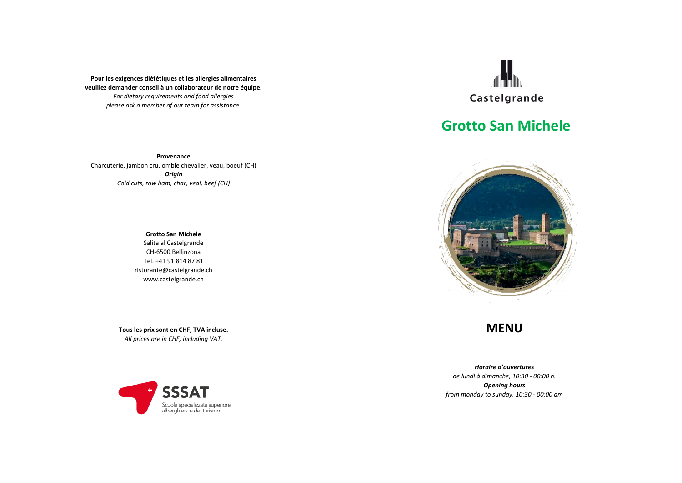**Pour les exigences diététiques et les allergies alimentaires veuillez demander conseil à un collaborateur de notre équipe.** *For dietary requirements and food allergies please ask a member of our team for assistance.*

**Provenance** Charcuterie, jambon cru, omble chevalier, veau, boeuf (CH) *Origin Cold cuts, raw ham, char, veal, beef (CH)*

> **Grotto San Michele** Salita al Castelgrande CH-6500 Bellinzona Tel. +41 91 814 87 81 ristorante@castelgrande.ch www.castelgrande.ch

**Tous les prix sont en CHF, TVA incluse.** *All prices are in CHF, including VAT.*





# **Grotto San Michele**



## **MENU**

*Horaire d'ouvertures de lundì à dimanche, 10:30 - 00:00 h. Opening hours from monday to sunday, 10:30 - 00:00 am*